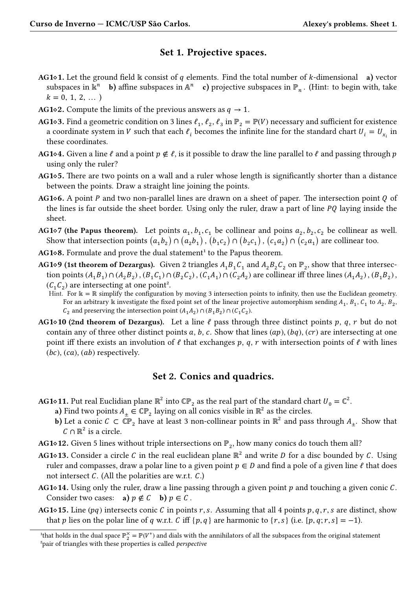## **Set 1. Projective spaces.**

- **AG1** $\circ$ **1.** Let the ground field  $\mathbb{k}$  consist of q elements. Find the total number of k-dimensional **a**) vector subspaces in  $\mathbb{R}^n$  **b**) affine subspaces in  $\mathbb{A}^n$  **c**) projective subspaces in  $\mathbb{P}_n$ . (Hint: to begin with, take  $k = 0, 1, 2, ...$
- **AG1** $\diamond$ 2. Compute the limits of the previous answers as  $q \to 1$ .
- **AG1** $\circ$ **3.** Find a geometric condition on 3 lines  $\ell_1$ ,  $\ell_2$ ,  $\ell_3$  in  $\mathbb{P}_2 = \mathbb{P}(V)$  necessary and sufficient for existence a coordinate system in *V* such that each  $\ell_i$  becomes the infinite line for the standard chart  $U_i = U_{x_i}$  in these coordinates.
- **AG1** $\circ$ **4.** Given a line  $\ell$  and a point  $p \notin \ell$ , is it possible to draw the line parallel to  $\ell$  and passing through  $p$ using only the ruler?
- **AG<sup>1</sup>◇5.** There are two points on a wall and a ruler whose length is significantly shorter than a distance between the points. Draw a straight line joining the points.
- **AG1** $\circ$ **6.** A point P and two non-parallel lines are drawn on a sheet of paper. The intersection point Q of the lines is far outside the sheet border. Using only the ruler, draw a part of line  $PQ$  laying inside the sheet.
- **AG<sup>1</sup>** $\diamond$ **7** (the Papus theorem). Let points  $a_1, b_1, c_1$  be collinear and poins  $a_2, b_2, c_2$  be collinear as well. Show that intersection points  $(a_1b_2) \cap (a_2b_1)$  ,  $(b_1c_2) \cap (b_2c_1)$  ,  $(c_1a_2) \cap (c_2a_1)$  are collinear too.
- **AG1◇8.** Formulate and prove the dual statement<sup>1</sup> to the Papus theorem.
- **AG1◇9 (1st theorem of Dezargus).** Given 2 triangles  $A_1B_1C_1$  and  $A_2B_2C_2$  on  $\mathbb{P}_2$ , show that three intersection points  $(A_1B_1) \cap (A_2B_2)$ ,  $(B_1C_1) \cap (B_2C_2)$ ,  $(C_1A_1) \cap (C_2A_2)$  are collinear iff three lines  $(A_1A_2)$ ,  $(B_1B_2)$ ,  $(C_1 C_2)$  are intersecting at one point<sup>2</sup>.
	- Hint. For  $\mathbb{k} = \mathbb{R}$  simplify the configuration by moving 3 intersection points to infinity, then use the Euclidean geometry. For an arbitrary  $\Bbbk$  investigate the fixed point set of the linear projective automorphism sending  $A_1, B_1, C_1$  to  $A_2, B_2,$  $C_2$  and preserving the intersection point ( $A_1A_2$ ) ∩ ( $B_1B_2$ ) ∩ ( $C_1C_2$ ).
- **AG<sup>1</sup>** $\circ$ **10** (2nd theorem of Dezargus). Let a line  $\ell$  pass through three distinct points p, q, r but do not contain any of three other distinct points a, b, c. Show that lines  $(ap)$ ,  $(bq)$ ,  $(cr)$  are intersecting at one point iff there exists an involution of  $\ell$  that exchanges p, q, r with intersection points of  $\ell$  with lines  $(bc), (ca), (ab)$  respectively.

## **Set 2. Conics and quadrics.**

- **AG1◇11.** Put real Euclidian plane  $\mathbb{R}^2$  into  $\mathbb{CP}_2$  as the real part of the standard chart  $U_0 = \mathbb{C}^2$ .
	- **a**) Find two points  $A_{\pm} \in \mathbb{CP}_2$  laying on all conics visible in  $\mathbb{R}^2$  as the circles.
	- **b**) Let a conic  $C \subset \mathbb{CP}_2$  have at least 3 non-collinear points in  $\mathbb{R}^2$  and pass through  $A_{\pm}$ . Show that  $C \cap \mathbb{R}^2$  is a circle.
- **AG1◇12.** Given 5 lines without triple intersections on  $\mathbb{P}_2$ , how many conics do touch them all?
- **AG1◇13.** Consider a circle  $C$  in the real euclidean plane  $\mathbb{R}^2$  and write  $D$  for a disc bounded by  $C$ . Using ruler and compasses, draw a polar line to a given point  $p \in D$  and find a pole of a given line  $\ell$  that does not intersect  $C$ . (All the polarities are w.r.t.  $C$ .)
- **AG<sup>1</sup>** $\circ$ **14.** Using only the ruler, draw a line passing through a given point p and touching a given conic C. Consider two cases: **a**)  $p \notin C$  **b**)  $p \in C$ .
- **AG1** $\circ$ **15.** Line (pq) intersects conic C in points r, s. Assuming that all 4 points p, q, r, s are distinct, show that p lies on the polar line of q w.r.t. C iff {p, q} are harmonic to {r, s} (i.e. [p, q; r, s] = -1).

<sup>&</sup>lt;sup>1</sup>that holds in the dual space  $\mathbb{P}_2^{\times} = \mathbb{P}(V^*)$  and dials with the annihilators of all the subspaces from the original statement ²pair of triangles with these properties is called *perspective*